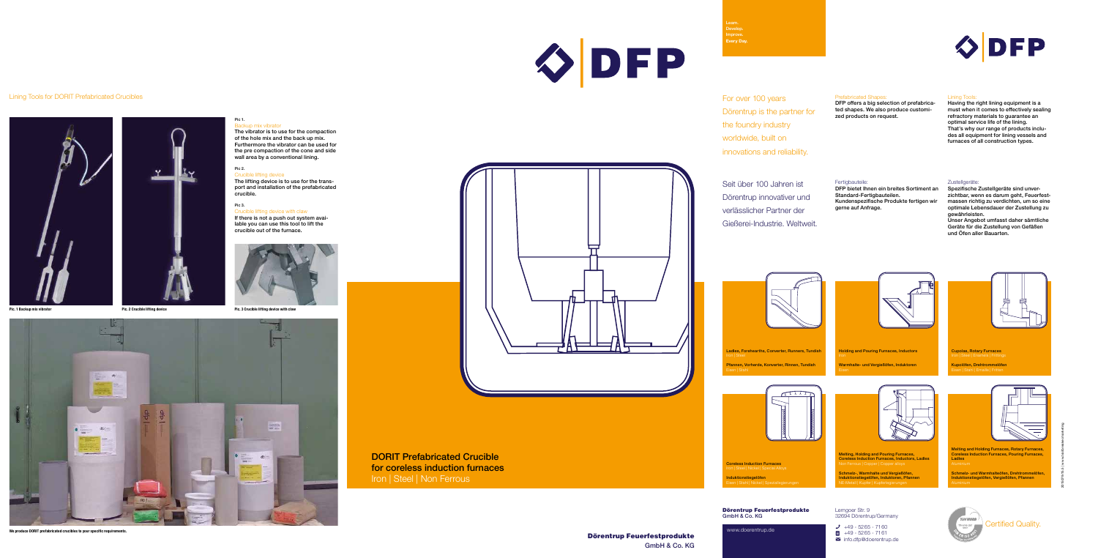GmbH & Co. KG

# OFP





## Lining Tools for DORIT Prefabricated Crucibles





#### Pic 1. Backup mix vibrator

ting device with claw If there is not a push out system available you can use this tool to lift the crucible out of the furnace.







DORIT Prefabricated Crucible for coreless induction furnaces Iron | Steel | Non Ferrous

The vibrator is to use for the compaction of the hole mix and the back up mix. Furthermore the vibrator can be used for the pre compaction of the cone and side wall area by a conventional lining.

### Pic 2.

Melting, Holding and Pouring Furnaces, Coreless Induction Furnaces, Inductors, Ladles rrous | Copper | Copper a

Crucible lifting device The lifting device is to use for the transport and installation of the prefabricated crucible.

#### Pic 3.

## **We produce DORIT prefabricated crucibles to your specific requirements.**

Dörentrup Feuerfestprodukte GmbH & Co. KG Lemgoer Str. 9 32694 Dörentrup/Germany

www.doerentrup.de



 $\sum$  info.dfp@doerentrup.de



Learn. Develop. Improve. **Every Day.**

Schmelz-, Warmhalte und Vergießöfen, Induktionstiegelöfen, Induktoren, Pfannen NE-Metall | Kupfer | Kupferlegierungen

Melting and Holding Furnaces, Rotary Furnaces, Coreless Induction Furnaces, Pouring Furnaces, Ladles

Schmelz- und Warmhalteöfen, Drehtrommelöfen, Induktionstiegelöfen, Vergießöfen, Pfannen Aluminium

Cupolas, Rotary Furnaces

Kupolöfen, Drehtrommelöfen Eisen | Stahl | Emaille | Fritten



Holding and Pouring Furnaces, Inductors



Warmhalte- und Vergießöfen, Induktoren

Ladles, Forehearths, Converter, Runners, Tundish

Pfannen, Vorherde, Konverter, Rinnen, Tundish



Coreless Induction Furnaces Iron | Steel | Nickel | Special Alloys

Induktionstiegelöfen

For over 100 years Dörentrup is the partner for the foundry industry worldwide, built on innovations and reliability.

## Prefabricated Shapes:

DFP offers a big selection of prefabricated shapes. We also produce customized products on request.

# Lining Tools:

Having the right lining equipment is a must when it comes to effectively sealing refractory materials to guarantee an optimal service life of the lining. That's why our range of products includes all equipment for lining vessels and furnaces of all construction types.

Seit über 100 Jahren ist Dörentrup innovativer und verlässlicher Partner der Gießerei-Industrie. Weltweit.

# Fertigbauteile:

DFP bietet Ihnen ein breites Sortiment an Standard-Fertigbauteilen. Kundenspezifische Produkte fertigen wir gerne auf Anfrage.

#### Zustellgeräte:

Spezifische Zustellgeräte sind unverzichtbar, wenn es darum geht, Feuerfestmassen richtig zu verdichten, um so eine optimale Lebensdauer der Zustellung zu gewährleisten.

Unser Angebot umfasst daher sämtliche Geräte für die Zustellung von Gefäßen und Öfen aller Bauarten.



2015079/15.5 | www.trailbreaker.marketing

Certified Quality.